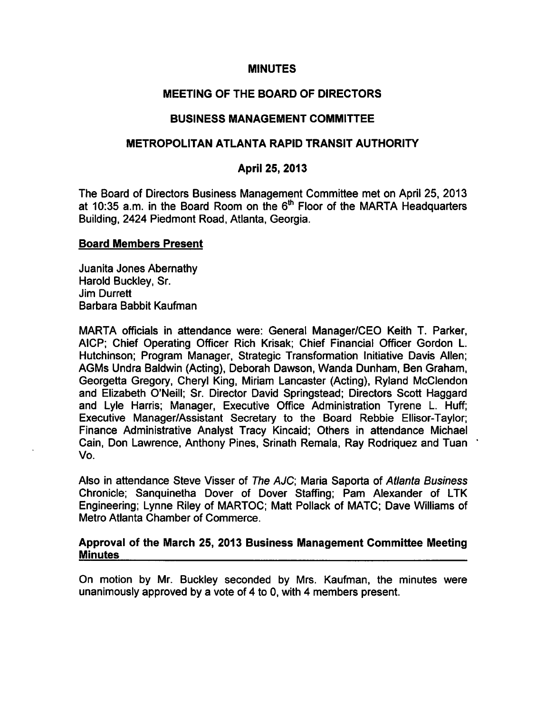## MINUTES

## MEETING OF THE BOARD OF DIRECTORS

## BUSINESS MANAGEMENT COMMITTEE

#### METROPOLITAN ATLANTA RAPID TRANSIT AUTHORITY

# April 25, 2013

The Board of Directors Business Management Committee met on April 25, 2013 at 10:35 a.m. in the Board Room on the  $6<sup>th</sup>$  Floor of the MARTA Headquarters Building, 2424 Piedmont Road, Atlanta, Georgia.

#### Board Members Present

Juanita Jones Abernathy Harold Buckley, Sr. Jim Durrett Barbara Babbit Kaufman

MARTA officials in attendance were: General Manager/CEO Keith T. Parker, AICP; Chief Operating Officer Rich Krisak; Chief Financial Officer Gordon L. Hutchinson; Program Manager, Strategic Transformation Initiative Davis Allen; AGMs Undra Baldwin (Acting), Deborah Dawson, Wanda Dunham, Ben Graham, Georgetta Gregory, Cheryl King, Miriam Lancaster (Acting), Ryland McClendon and Elizabeth O'Neill; Sr. Director David Springstead; Directors Scott Haggard and Lyle Harris; Manager, Executive Office Administration Tyrene L. Huff; Executive Manager/Assistant Secretary to the Board Rebbie Ellisor-Taylor; Finance Administrative Analyst Tracy Kincaid; Others in attendance Michael Cain, Don Lawrence, Anthony Pines, Srinath Remala, Ray Rodriquez and Tuan Vo.

Also in attendance Steve Visser of The AJC; Maria Saporta of Atlanta Business Chronicle; Sanquinetha Dover of Dover Staffing; Pam Alexander of LTK Engineering; Lynne Riley of MARTOC; Matt Pollack of MATC; Dave Williams of Metro Atlanta Chamber of Commerce.

## Approval of the March 25, 2013 Business Management Committee Meeting **Minutes**

On motion by Mr. Buckley seconded by Mrs. Kaufman, the minutes were unanimously approved by a vote of 4 to 0, with 4 members present.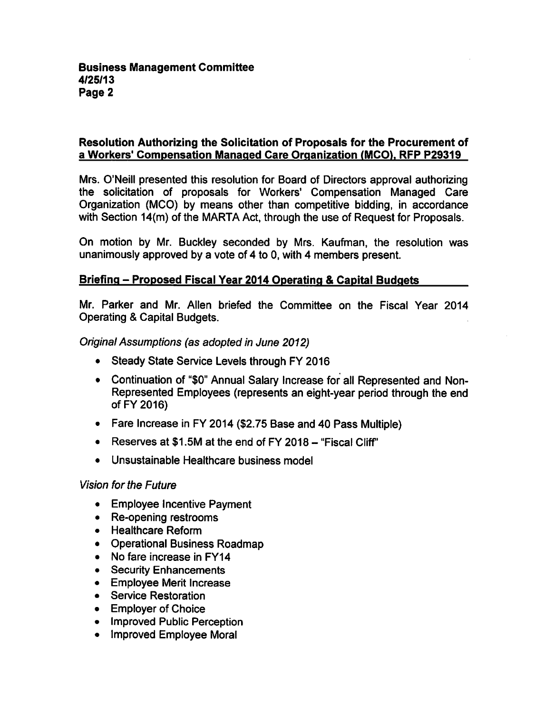# Resolution Authorizing the Solicitation of Proposals for the Procurement of a Workers' Compensation Managed Care Organization (MCO), RFP P29319

Mrs. O'Neill presented this resolution for Board of Directors approval authorizing the solicitation of proposals for Workers' Compensation Managed Care Organization (MCO) by means other than competitive bidding, in accordance with Section 14(m) of the MARTA Act, through the use of Request for Proposals.

On motion by Mr. Buckley seconded by Mrs. Kaufman, the resolution was unanimously approved by a vote of 4 to 0, with 4 members present.

# Briefing - Proposed Fiscal Year 2014 Operating & Capital Budgets

Mr. Parker and Mr. Allen briefed the Committee on the Fiscal Year 2014 Operating & Capital Budgets.

Original Assumptions (as adopted in June 2012)

- Steady State Service Levels through FY 2016
- Continuation of "\$0" Annual Salary Increase for all Represented and Non-Represented Employees (represents an eight-year period through the end of FY 2016)
- Fare Increase in FY 2014 (\$2.75 Base and 40 Pass Multiple)
- Reserves at \$1.5M at the end of FY 2018  $-$  "Fiscal Cliff"
- Unsustainable Healthcare business model

# Vision for the Future

- Employee Incentive Payment
- Re-opening restrooms
- Healthcare Reform
- Operational Business Roadmap
- No fare increase in FY14
- Security Enhancements
- Employee Merit Increase
- Service Restoration
- Employer of Choice
- Improved Public Perception
- Improved Employee Moral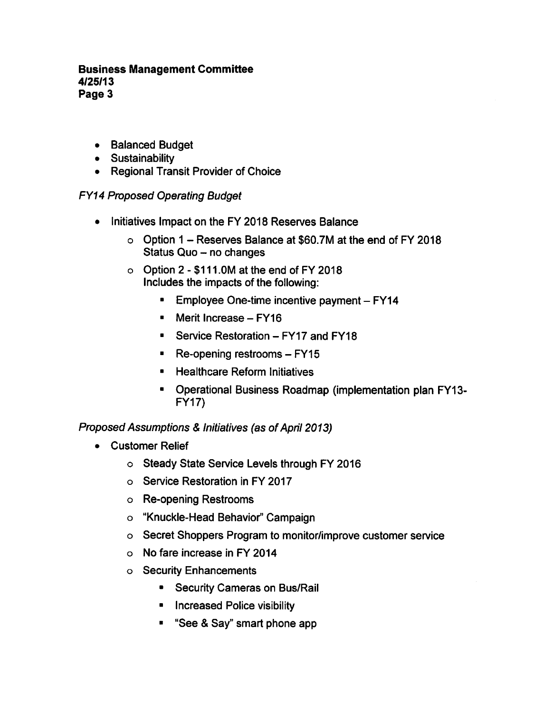- Balanced Budget
- **•** Sustainability
- Regional Transit Provider of Choice

# FY14 Proposed Operating Budget

- Initiatives Impact on the FY 2018 Reserves Balance
	- $\circ$  Option 1 Reserves Balance at \$60.7M at the end of FY 2018 Status Quo  $-$  no changes
	- $\circ$  Option 2 \$111.0M at the end of FY 2018 Includes the impacts of the following:
		- **Employee One-time incentive payment**  $FY14$
		- $\blacksquare$ Merit Increase - FY16
		- Service Restoration FY17 and FY18
		- Re-opening restrooms  $-$  FY15
		- **EXEC** Healthcare Reform Initiatives
		- Operational Business Roadmap (implementation plan FY13- FY17)

Proposed Assumptions & Initiatives (as of April 2013)

- Customer Relief
	- o Steady State Service Levels through FY 2016
	- o Service Restoration in FY 2017
	- Re-opening Restrooms
	- "Knuckle-Head Behavior" Campaign
	- Secret Shoppers Program to monitor/improve customer service
	- No fare increase in FY 2014
	- o Security Enhancements
		- **Security Cameras on Bus/Rail**
		- **Increased Police visibility**
		- **"** "See & Say" smart phone app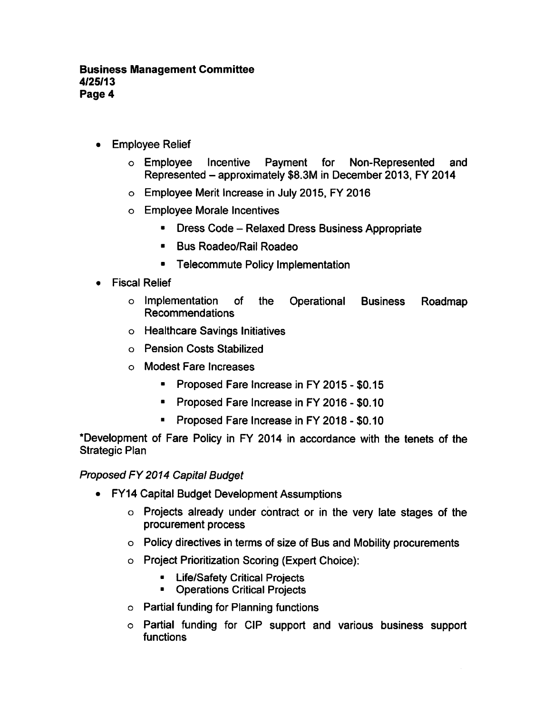- Employee Relief  $\bullet$ 
	- Employee Incentive Payment for Non-Represented and Represented approximately \$8.3M in December 2013, FY 2014
	- Employee Merit Increase in July 2015, FY 2016
	- Employee Morale Incentives
		- $\blacksquare$ Dress Code - Relaxed Dress Business Appropriate
		- Bus Roadeo/Rail Roadeo  $\blacksquare$
		- Telecommute Policy Implementation
- Fiscal Relief
	- o Implementation of the Operational Business Roadmap Recommendations
	- Healthcare Savings Initiatives
	- Pension Costs Stabilized
	- Modest Fare Increases  $\circ$ 
		- **Proposed Fare Increase in FY 2015 \$0.15**
		- **Proposed Fare Increase in FY 2016 \$0.10**
		- $\blacksquare$  . Proposed Fare Increase in FY 2018 - \$0.10

•Development of Fare Policy in FY 2014 in accordance with the tenets of the Strategic Plan

# Proposed FY 2014 Capital Budget

- FY14 Capital Budget Development Assumptions
	- Projects already under contract or in the very late stages of the procurement process
	- Policy directives in terms of size of Bus and Mobility procurements
	- Project Prioritization Scoring (Expert Choice):
		- **E.** Life/Safety Critical Projects
		- Operations Critical Projects
	- Partial funding for Planning functions
	- Partial funding for CIP support and various business support functions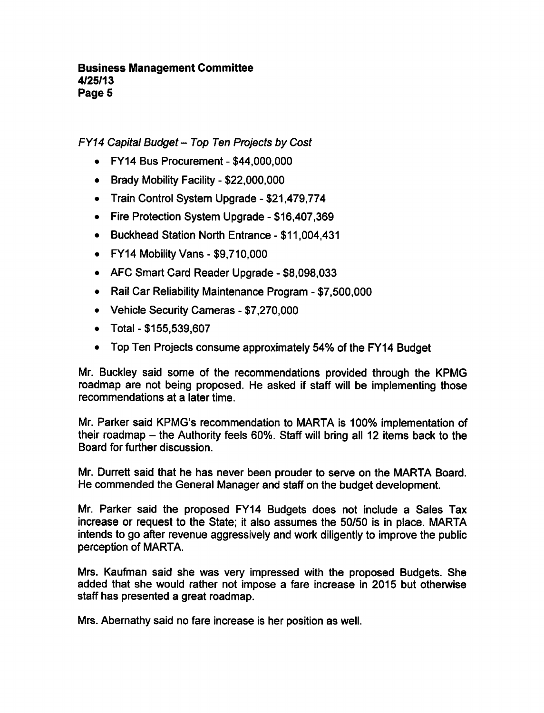FY14 Capital Budget - Top Ten Projects by Cost

- $\bullet$  FY14 Bus Procurement \$44,000,000
- Brady Mobility Facility \$22,000,000
- Train Control System Upgrade \$21,479,774
- Fire Protection System Upgrade \$16,407,369
- Buckhead Station North Entrance \$11,004,431
- $\bullet$  FY14 Mobility Vans \$9,710,000
- AFC Smart Card Reader Upgrade \$8,098,033
- Rail Car Reliability Maintenance Program \$7,500,000
- Vehicle Security Cameras \$7,270,000
- Total-\$155,539,607
- Top Ten Projects consume approximately 54% of the FY14 Budget

Mr. Buckley said some of the recommendations provided through the KPMG roadmap are not being proposed. He asked if staff will be implementing those recommendations at a later time.

Mr. Parker said KPMG's recommendation to MARTA is 100% implementation of their roadmap – the Authority feels  $60\%$ . Staff will bring all 12 items back to the Board for further discussion.

Mr. Durrett said that he has never been prouder to serve on the MARTA Board. He commended the General Manager and staff on the budget development.

Mr. Parker said the proposed FY14 Budgets does not include a Sales Tax increase or request to the State; it also assumes the 50/50 is in place. MARTA intends to go after revenue aggressively and work diligently to improve the public perception of MARTA.

Mrs. Kaufman said she was very impressed with the proposed Budgets. She added that she would rather not impose a fare increase in 2015 but otherwise staff has presented a great roadmap.

Mrs. Abernathy said no fare increase is her position as well.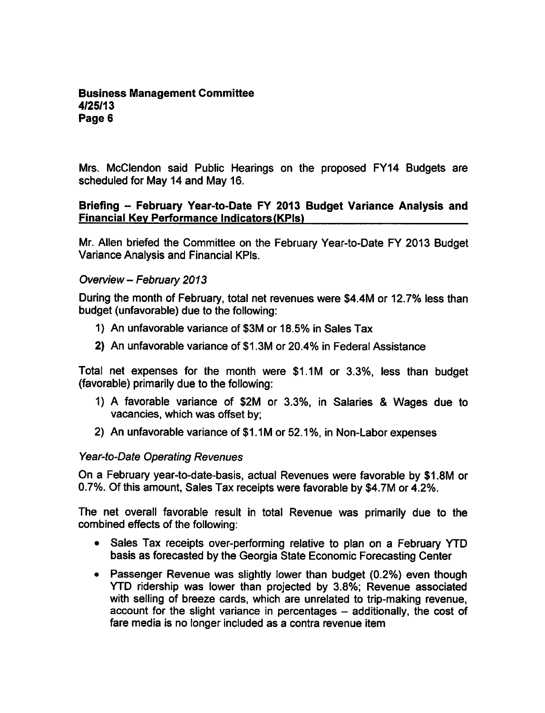Mrs. McClendon said Public Hearings on the proposed FY14 Budgets are scheduled for May 14 and May 16.

## Briefing - February Year-to-Date FY 2013 Budget Variance Analysis and Financial Key Performance Indicators (KPIs)

Mr. Allen briefed the Committee on the February Year-to-Date FY 2013 Budget Variance Analysis and Financial KPIs.

## Overview February 2013

During the month of February, total net revenues were \$4.4M or 12.7% less than budget (unfavorable) due to the following:

- 1) An unfavorable variance of \$3M or 18.5% in Sales Tax
- 2) An unfavorable variance of \$1.3M or 20.4% in Federal Assistance

Total net expenses for the month were \$1.1M or 3.3%, less than budget (favorable) primarily due to the following:

- 1) A favorable variance of  $$2M$  or 3.3%, in Salaries & Wages due to vacancies, which was offset by;
- 2) An unfavorable variance of \$1.1M or 52.1%, in Non-Labor expenses

#### Year-to-Date Operating Revenues

On a February year-to-date-basis, actual Revenues were favorable by \$1.8M or 0.7%. Of this amount, Sales Tax receipts were favorable by \$4.7M or 4.2%.

The net overall favorable result in total Revenue was primarily due to the combined effects of the following:

- Sales Tax receipts over-performing relative to plan on a February YTD basis as forecasted by the Georgia State Economic Forecasting Center
- Passenger Revenue was slightly lower than budget (0.2%) even though YTD ridership was lower than projected by 3.8%; Revenue associated with selling of breeze cards, which are unrelated to trip-making revenue, account for the slight variance in percentages  $-$  additionally, the cost of fare media is no longer included as a contra revenue item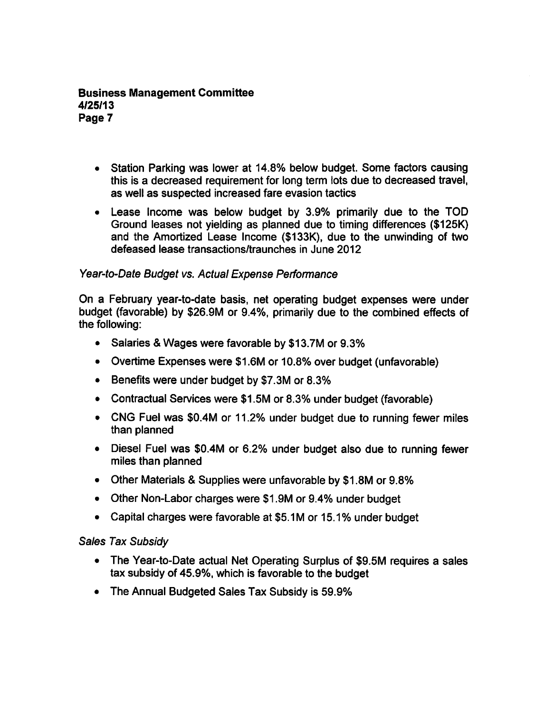- Station Parking was lower at 14.8% below budget. Some factors causing this is decreased requirement for long term lots due to decreased travel, as well as suspected increased fare evasion tactics
- Lease Income was below budget by 3.9% primarily due to the TOD Ground leases not yielding as planned due to timing differences (\$125K) and the Amortized Lease Income (\$133K), due to the unwinding of two defeased lease transactions/traunches in June 2012

# Year-to-Date Budget vs. Actual Expense Performance

On a February year-to-date basis, net operating budget expenses were under budget (favorable) by \$26.9M or 9.4%, primarily due to the combined effects of the following:

- Salaries & Wages were favorable by \$13.7M or 9.3%
- Overtime Expenses were \$1.6M or 10.8% over budget (unfavorable)
- Benefits were under budget by \$7.3M or 8.3%
- Contractual Services were \$1.5M or 8.3% under budget (favorable)
- CNG Fuel was \$0.4M or 11.2% under budget due to running fewer miles than planned
- Diesel Fuel was \$0.4M or 6.2% under budget also due to running fewer miles than planned
- Other Materials Supplies were unfavorable by \$1.8M or 9.8%
- Other Non-Labor charges were \$1.9M or 9.4% under budget
- Capital charges were favorable at \$5.1M or 15.1% under budget

Sales Tax Subsidy

- The Year-to-Date actual Net Operating Surplus of \$9.5M requires a sales tax subsidy of 45.9%, which is favorable to the budget
- The Annual Budgeted Sales Tax Subsidy is 59.9%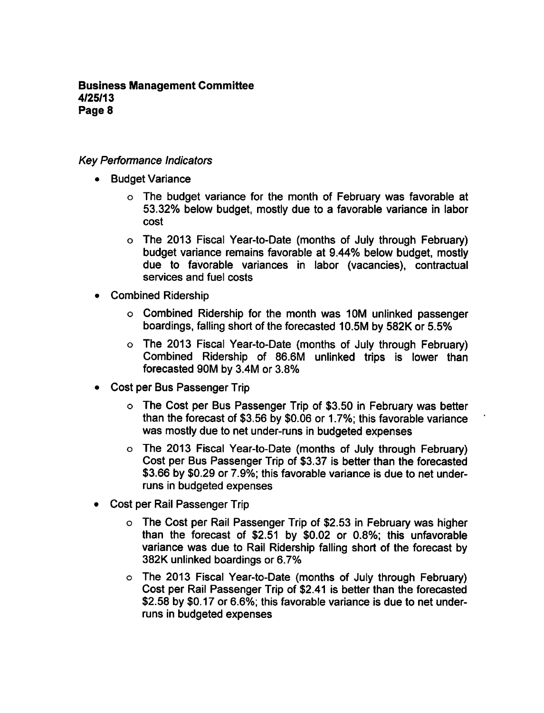# Key Performance Indicators

- Budget Variance
	- The budget variance for the month of February was favorable at 53.32% below budget, mostly due to a favorable variance in labor cost
	- The 2013 Fiscal Year-to-Date (months of July through February) budget variance remains favorable at 9.44% below budget, mostly due to favorable variances in labor (vacancies), contractual services and fuel costs
- Combined Ridership
	- Combined Ridership for the month was 10M unlinked passenger boardings, falling short of the forecasted 10.5M by 582K or 5.5%
	- The 2013 Fiscal Year-to-Date (months of July through February) Combined Ridership of 86.6M unlinked trips is lower than forecasted 90M by 3.4M or 3.8%
- Cost per Bus Passenger Trip
	- The Cost per Bus Passenger Trip of \$3.50 in February was better than the forecast of \$3.56 by \$0.06 or 1.7%; this favorable variance was mostly due to net under-runs in budgeted expenses
	- The 2013 Fiscal Year-to-Date (months of July through February) Cost per Bus Passenger Trip of \$3.37 is better than the forecasted \$3.66 by \$0.29 or 7.9%; this favorable variance is due to net underruns in budgeted expenses
- Cost per Rail Passenger Trip
	- The Cost per Rail Passenger Trip of \$2.53 in February was higher than the forecast of \$2.51 by \$0.02 or 0.8%; this unfavorable variance was due to Rail Ridership falling short of the forecast by 382K unlinked boardings or 6.7%
	- The 2013 Fiscal Year-to-Date (months of July through February) Cost per Rail Passenger Trip of \$2.41 is better than the forecasted \$2.58 by \$0.17 or 6.6%; this favorable variance is due to net underruns in budgeted expenses